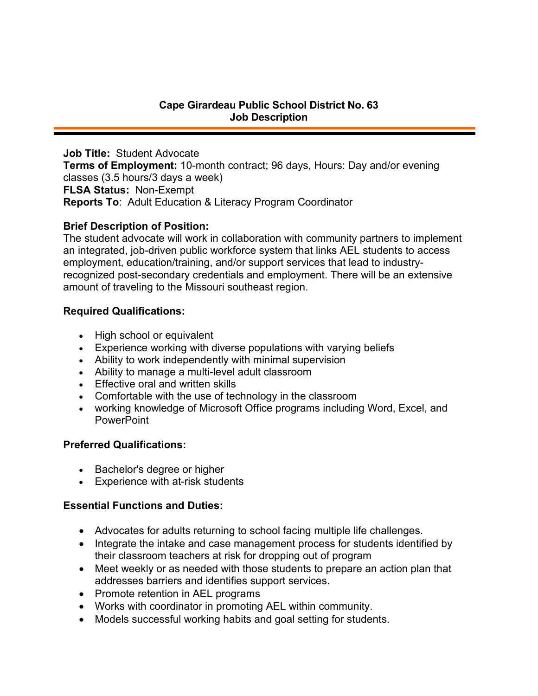**Job Title:** Student Advocate **Terms of Employment:** 10-month contract; 96 days, Hours: Day and/or evening classes (3.5 hours/3 days a week) **FLSA Status:** Non-Exempt **Reports To**: Adult Education & Literacy Program Coordinator

# **Brief Description of Position:**

The student advocate will work in collaboration with community partners to implement an integrated, job-driven public workforce system that links AEL students to access employment, education/training, and/or support services that lead to industryrecognized post-secondary credentials and employment. There will be an extensive amount of traveling to the Missouri southeast region.

# **Required Qualifications:**

- High school or equivalent
- Experience working with diverse populations with varying beliefs
- Ability to work independently with minimal supervision
- Ability to manage a multi-level adult classroom
- Effective oral and written skills
- Comfortable with the use of technology in the classroom
- working knowledge of Microsoft Office programs including Word, Excel, and **PowerPoint**

# **Preferred Qualifications:**

- Bachelor's degree or higher
- Experience with at-risk students

## **Essential Functions and Duties:**

- Advocates for adults returning to school facing multiple life challenges.
- Integrate the intake and case management process for students identified by their classroom teachers at risk for dropping out of program
- Meet weekly or as needed with those students to prepare an action plan that addresses barriers and identifies support services.
- Promote retention in AEL programs
- Works with coordinator in promoting AEL within community.
- Models successful working habits and goal setting for students.